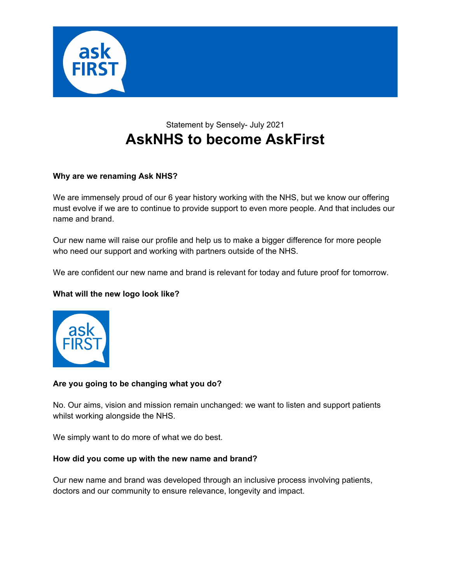

# Statement by Sensely- July 2021 **AskNHS to become AskFirst**

## **Why are we renaming Ask NHS?**

We are immensely proud of our 6 year history working with the NHS, but we know our offering must evolve if we are to continue to provide support to even more people. And that includes our name and brand.

Our new name will raise our profile and help us to make a bigger difference for more people who need our support and working with partners outside of the NHS.

We are confident our new name and brand is relevant for today and future proof for tomorrow.

## **What will the new logo look like?**



## **Are you going to be changing what you do?**

No. Our aims, vision and mission remain unchanged: we want to listen and support patients whilst working alongside the NHS.

We simply want to do more of what we do best.

## **How did you come up with the new name and brand?**

Our new name and brand was developed through an inclusive process involving patients, doctors and our community to ensure relevance, longevity and impact.